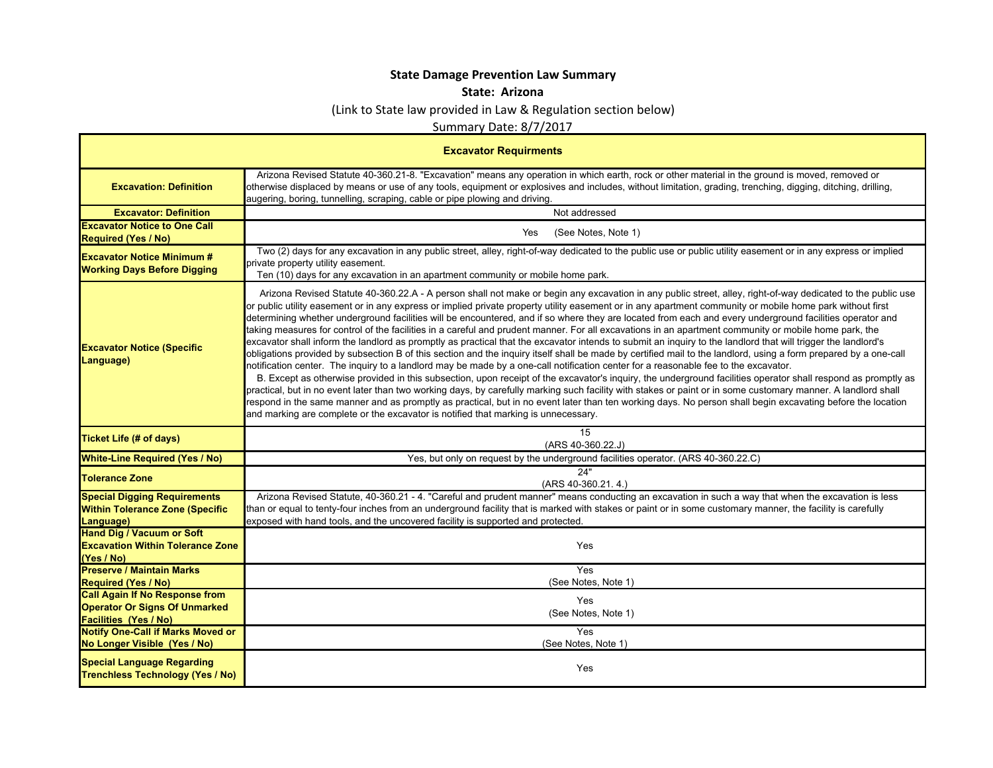## **State Damage Prevention Law Summary**

## **State: Arizona**

## (Link to State law provided in Law & Regulation section below)

Summary Date: 8/7/2017

| <b>Excavator Requirments</b>                                                                                                                              |                                                                                                                                                                                                                                                                                                                                                                                                                                                                                                                                                                                                                                                                                                                                                                                                                                                                                                                                                                                                                                                                                                                                                                                                                                                                                                                                                                                                                                                                                                                                                                                                                                                                                                                 |  |
|-----------------------------------------------------------------------------------------------------------------------------------------------------------|-----------------------------------------------------------------------------------------------------------------------------------------------------------------------------------------------------------------------------------------------------------------------------------------------------------------------------------------------------------------------------------------------------------------------------------------------------------------------------------------------------------------------------------------------------------------------------------------------------------------------------------------------------------------------------------------------------------------------------------------------------------------------------------------------------------------------------------------------------------------------------------------------------------------------------------------------------------------------------------------------------------------------------------------------------------------------------------------------------------------------------------------------------------------------------------------------------------------------------------------------------------------------------------------------------------------------------------------------------------------------------------------------------------------------------------------------------------------------------------------------------------------------------------------------------------------------------------------------------------------------------------------------------------------------------------------------------------------|--|
| <b>Excavation: Definition</b>                                                                                                                             | Arizona Revised Statute 40-360.21-8. "Excavation" means any operation in which earth, rock or other material in the ground is moved, removed or<br>otherwise displaced by means or use of any tools, equipment or explosives and includes, without limitation, grading, trenching, digging, ditching, drilling,<br>augering, boring, tunnelling, scraping, cable or pipe plowing and driving.                                                                                                                                                                                                                                                                                                                                                                                                                                                                                                                                                                                                                                                                                                                                                                                                                                                                                                                                                                                                                                                                                                                                                                                                                                                                                                                   |  |
| <b>Excavator: Definition</b>                                                                                                                              | Not addressed                                                                                                                                                                                                                                                                                                                                                                                                                                                                                                                                                                                                                                                                                                                                                                                                                                                                                                                                                                                                                                                                                                                                                                                                                                                                                                                                                                                                                                                                                                                                                                                                                                                                                                   |  |
| <b>Excavator Notice to One Call</b><br><b>Required (Yes / No)</b>                                                                                         | Yes<br>(See Notes, Note 1)                                                                                                                                                                                                                                                                                                                                                                                                                                                                                                                                                                                                                                                                                                                                                                                                                                                                                                                                                                                                                                                                                                                                                                                                                                                                                                                                                                                                                                                                                                                                                                                                                                                                                      |  |
| <b>Excavator Notice Minimum #</b><br><b>Working Days Before Digging</b>                                                                                   | Two (2) days for any excavation in any public street, alley, right-of-way dedicated to the public use or public utility easement or in any express or implied<br>private property utility easement.<br>Ten (10) days for any excavation in an apartment community or mobile home park.                                                                                                                                                                                                                                                                                                                                                                                                                                                                                                                                                                                                                                                                                                                                                                                                                                                                                                                                                                                                                                                                                                                                                                                                                                                                                                                                                                                                                          |  |
| <b>Excavator Notice (Specific</b><br>Language)                                                                                                            | Arizona Revised Statute 40-360.22.A - A person shall not make or begin any excavation in any public street, alley, right-of-way dedicated to the public use<br>or public utility easement or in any express or implied private property utility easement or in any apartment community or mobile home park without first<br>determining whether underground facilities will be encountered, and if so where they are located from each and every underground facilities operator and<br>taking measures for control of the facilities in a careful and prudent manner. For all excavations in an apartment community or mobile home park, the<br>excavator shall inform the landlord as promptly as practical that the excavator intends to submit an inquiry to the landlord that will trigger the landlord's<br>obligations provided by subsection B of this section and the inquiry itself shall be made by certified mail to the landlord, using a form prepared by a one-call<br>notification center. The inquiry to a landlord may be made by a one-call notification center for a reasonable fee to the excavator.<br>B. Except as otherwise provided in this subsection, upon receipt of the excavator's inquiry, the underground facilities operator shall respond as promptly as<br>practical, but in no event later than two working days, by carefully marking such facility with stakes or paint or in some customary manner. A landlord shall<br>respond in the same manner and as promptly as practical, but in no event later than ten working days. No person shall begin excavating before the location<br>and marking are complete or the excavator is notified that marking is unnecessary. |  |
| <b>Ticket Life (# of days)</b>                                                                                                                            | 15<br>(ARS 40-360.22.J)                                                                                                                                                                                                                                                                                                                                                                                                                                                                                                                                                                                                                                                                                                                                                                                                                                                                                                                                                                                                                                                                                                                                                                                                                                                                                                                                                                                                                                                                                                                                                                                                                                                                                         |  |
| <b>White-Line Required (Yes / No)</b>                                                                                                                     | Yes, but only on request by the underground facilities operator. (ARS 40-360.22.C)                                                                                                                                                                                                                                                                                                                                                                                                                                                                                                                                                                                                                                                                                                                                                                                                                                                                                                                                                                                                                                                                                                                                                                                                                                                                                                                                                                                                                                                                                                                                                                                                                              |  |
| <b>Tolerance Zone</b>                                                                                                                                     | 24"<br>(ARS 40-360.21.4.)                                                                                                                                                                                                                                                                                                                                                                                                                                                                                                                                                                                                                                                                                                                                                                                                                                                                                                                                                                                                                                                                                                                                                                                                                                                                                                                                                                                                                                                                                                                                                                                                                                                                                       |  |
| <b>Special Digging Requirements</b><br><b>Within Tolerance Zone (Specific</b><br>Language)                                                                | Arizona Revised Statute, 40-360.21 - 4. "Careful and prudent manner" means conducting an excavation in such a way that when the excavation is less<br>than or equal to tenty-four inches from an underground facility that is marked with stakes or paint or in some customary manner, the facility is carefully<br>exposed with hand tools, and the uncovered facility is supported and protected.                                                                                                                                                                                                                                                                                                                                                                                                                                                                                                                                                                                                                                                                                                                                                                                                                                                                                                                                                                                                                                                                                                                                                                                                                                                                                                             |  |
| <b>Hand Dig / Vacuum or Soft</b><br><b>Excavation Within Tolerance Zone</b><br>(Yes / No)                                                                 | Yes                                                                                                                                                                                                                                                                                                                                                                                                                                                                                                                                                                                                                                                                                                                                                                                                                                                                                                                                                                                                                                                                                                                                                                                                                                                                                                                                                                                                                                                                                                                                                                                                                                                                                                             |  |
| <b>Preserve / Maintain Marks</b><br><b>Required (Yes / No)</b>                                                                                            | Yes<br>(See Notes, Note 1)                                                                                                                                                                                                                                                                                                                                                                                                                                                                                                                                                                                                                                                                                                                                                                                                                                                                                                                                                                                                                                                                                                                                                                                                                                                                                                                                                                                                                                                                                                                                                                                                                                                                                      |  |
| <b>Call Again If No Response from</b><br><b>Operator Or Signs Of Unmarked</b><br><b>Facilities (Yes / No)</b><br><b>Notify One-Call if Marks Moved or</b> | Yes<br>(See Notes, Note 1)<br>Yes                                                                                                                                                                                                                                                                                                                                                                                                                                                                                                                                                                                                                                                                                                                                                                                                                                                                                                                                                                                                                                                                                                                                                                                                                                                                                                                                                                                                                                                                                                                                                                                                                                                                               |  |
| No Longer Visible (Yes / No)                                                                                                                              | (See Notes, Note 1)                                                                                                                                                                                                                                                                                                                                                                                                                                                                                                                                                                                                                                                                                                                                                                                                                                                                                                                                                                                                                                                                                                                                                                                                                                                                                                                                                                                                                                                                                                                                                                                                                                                                                             |  |
| <b>Special Language Regarding</b><br><b>Trenchless Technology (Yes / No)</b>                                                                              | Yes                                                                                                                                                                                                                                                                                                                                                                                                                                                                                                                                                                                                                                                                                                                                                                                                                                                                                                                                                                                                                                                                                                                                                                                                                                                                                                                                                                                                                                                                                                                                                                                                                                                                                                             |  |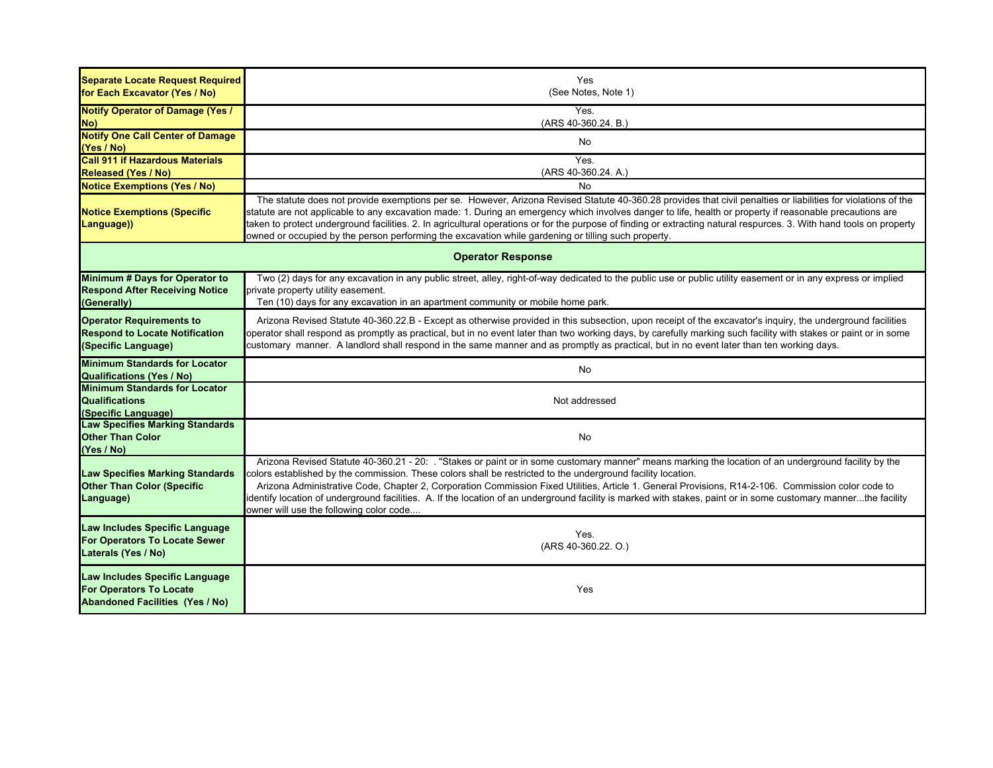| <b>Separate Locate Request Required</b><br>for Each Excavator (Yes / No)                                   | Yes<br>(See Notes, Note 1)                                                                                                                                                                                                                                                                                                                                                                                                                                                                                                                                                                                                             |  |
|------------------------------------------------------------------------------------------------------------|----------------------------------------------------------------------------------------------------------------------------------------------------------------------------------------------------------------------------------------------------------------------------------------------------------------------------------------------------------------------------------------------------------------------------------------------------------------------------------------------------------------------------------------------------------------------------------------------------------------------------------------|--|
| <b>Notify Operator of Damage (Yes /</b><br>No)                                                             | Yes.<br>(ARS 40-360.24. B.)                                                                                                                                                                                                                                                                                                                                                                                                                                                                                                                                                                                                            |  |
| <b>Notify One Call Center of Damage</b><br>(Yes / No)                                                      | No                                                                                                                                                                                                                                                                                                                                                                                                                                                                                                                                                                                                                                     |  |
| <b>Call 911 if Hazardous Materials</b><br><b>Released (Yes / No)</b>                                       | Yes.<br>(ARS 40-360.24. A.)                                                                                                                                                                                                                                                                                                                                                                                                                                                                                                                                                                                                            |  |
| <b>Notice Exemptions (Yes / No)</b>                                                                        | <b>No</b>                                                                                                                                                                                                                                                                                                                                                                                                                                                                                                                                                                                                                              |  |
| <b>Notice Exemptions (Specific</b><br>Language))                                                           | The statute does not provide exemptions per se. However, Arizona Revised Statute 40-360.28 provides that civil penalties or liabilities for violations of the<br>statute are not applicable to any excavation made: 1. During an emergency which involves danger to life, health or property if reasonable precautions are<br>taken to protect underground facilities. 2. In agricultural operations or for the purpose of finding or extracting natural respurces. 3. With hand tools on property<br>owned or occupied by the person performing the excavation while gardening or tilling such property.                              |  |
| <b>Operator Response</b>                                                                                   |                                                                                                                                                                                                                                                                                                                                                                                                                                                                                                                                                                                                                                        |  |
| <b>Minimum # Days for Operator to</b><br><b>Respond After Receiving Notice</b><br>(Generally)              | Two (2) days for any excavation in any public street, alley, right-of-way dedicated to the public use or public utility easement or in any express or implied<br>private property utility easement.<br>Ten (10) days for any excavation in an apartment community or mobile home park.                                                                                                                                                                                                                                                                                                                                                 |  |
| <b>Operator Requirements to</b><br><b>Respond to Locate Notification</b><br>(Specific Language)            | Arizona Revised Statute 40-360.22.B - Except as otherwise provided in this subsection, upon receipt of the excavator's inquiry, the underground facilities<br>operator shall respond as promptly as practical, but in no event later than two working days, by carefully marking such facility with stakes or paint or in some<br>customary manner. A landlord shall respond in the same manner and as promptly as practical, but in no event later than ten working days.                                                                                                                                                             |  |
| <b>Minimum Standards for Locator</b><br><b>Qualifications (Yes / No)</b>                                   | No                                                                                                                                                                                                                                                                                                                                                                                                                                                                                                                                                                                                                                     |  |
| <b>Minimum Standards for Locator</b><br><b>Qualifications</b><br>(Specific Language)                       | Not addressed                                                                                                                                                                                                                                                                                                                                                                                                                                                                                                                                                                                                                          |  |
| <b>Law Specifies Marking Standards</b><br><b>Other Than Color</b><br>(Yes / No)                            | No                                                                                                                                                                                                                                                                                                                                                                                                                                                                                                                                                                                                                                     |  |
| <b>Law Specifies Marking Standards</b><br><b>Other Than Color (Specific</b><br>Language)                   | Arizona Revised Statute 40-360.21 - 20: "Stakes or paint or in some customary manner" means marking the location of an underground facility by the<br>colors established by the commission. These colors shall be restricted to the underground facility location.<br>Arizona Administrative Code, Chapter 2, Corporation Commission Fixed Utilities, Article 1. General Provisions, R14-2-106. Commission color code to<br>identify location of underground facilities. A. If the location of an underground facility is marked with stakes, paint or in some customary mannerthe facility<br>owner will use the following color code |  |
| Law Includes Specific Language<br>For Operators To Locate Sewer<br>Laterals (Yes / No)                     | Yes.<br>(ARS 40-360.22. O.)                                                                                                                                                                                                                                                                                                                                                                                                                                                                                                                                                                                                            |  |
| Law Includes Specific Language<br><b>For Operators To Locate</b><br><b>Abandoned Facilities (Yes / No)</b> | Yes                                                                                                                                                                                                                                                                                                                                                                                                                                                                                                                                                                                                                                    |  |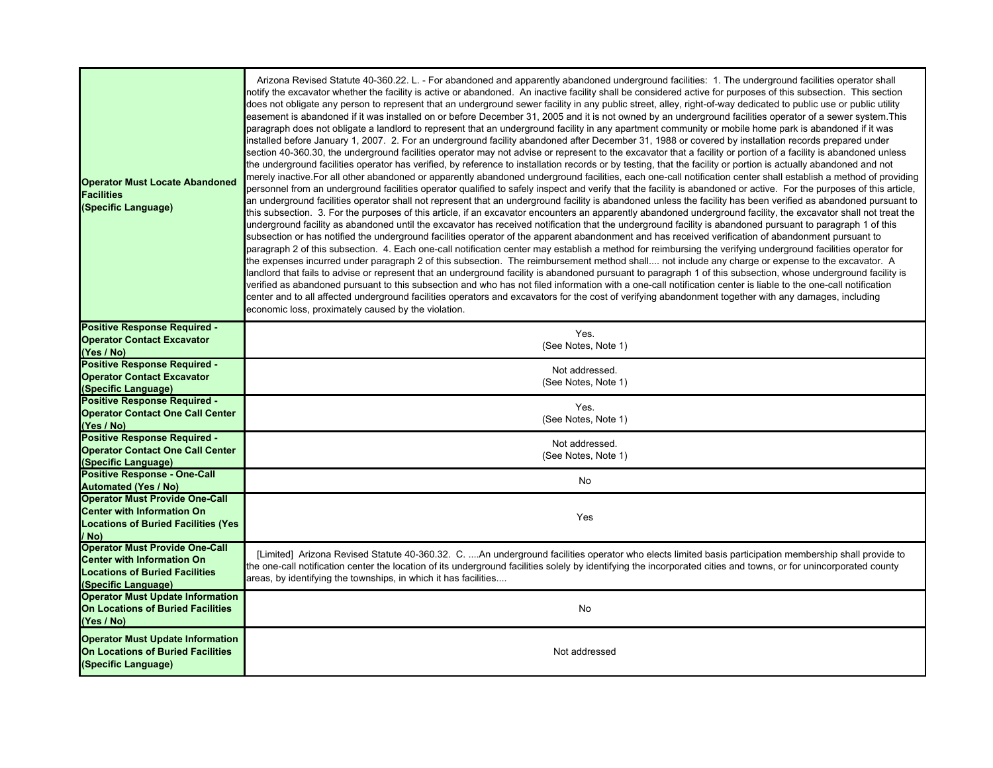| <b>Operator Must Locate Abandoned</b><br><b>Facilities</b><br>(Specific Language)                                                          | Arizona Revised Statute 40-360.22. L. - For abandoned and apparently abandoned underground facilities: 1. The underground facilities operator shall<br>notify the excavator whether the facility is active or abandoned. An inactive facility shall be considered active for purposes of this subsection. This section<br>does not obligate any person to represent that an underground sewer facility in any public street, alley, right-of-way dedicated to public use or public utility<br>leasement is abandoned if it was installed on or before December 31, 2005 and it is not owned by an underground facilities operator of a sewer system.This<br>paragraph does not obligate a landlord to represent that an underground facility in any apartment community or mobile home park is abandoned if it was<br>installed before January 1, 2007. 2. For an underground facility abandoned after December 31, 1988 or covered by installation records prepared under<br>section 40-360.30, the underground facilities operator may not advise or represent to the excavator that a facility or portion of a facility is abandoned unless<br>the underground facilities operator has verified, by reference to installation records or by testing, that the facility or portion is actually abandoned and not<br>merely inactive.For all other abandoned or apparently abandoned underground facilities, each one-call notification center shall establish a method of providing<br>personnel from an underground facilities operator qualified to safely inspect and verify that the facility is abandoned or active. For the purposes of this article,<br>an underground facilities operator shall not represent that an underground facility is abandoned unless the facility has been verified as abandoned pursuant to<br>this subsection. 3. For the purposes of this article, if an excavator encounters an apparently abandoned underground facility, the excavator shall not treat the<br>underground facility as abandoned until the excavator has received notification that the underground facility is abandoned pursuant to paragraph 1 of this<br>subsection or has notified the underground facilities operator of the apparent abandonment and has received verification of abandonment pursuant to<br>paragraph 2 of this subsection. 4. Each one-call notification center may establish a method for reimbursing the verifying underground facilities operator for<br>the expenses incurred under paragraph 2 of this subsection. The reimbursement method shall not include any charge or expense to the excavator. A<br>landlord that fails to advise or represent that an underground facility is abandoned pursuant to paragraph 1 of this subsection, whose underground facility is<br>verified as abandoned pursuant to this subsection and who has not filed information with a one-call notification center is liable to the one-call notification<br>center and to all affected underground facilities operators and excavators for the cost of verifying abandonment together with any damages, including<br>economic loss, proximately caused by the violation. |
|--------------------------------------------------------------------------------------------------------------------------------------------|----------------------------------------------------------------------------------------------------------------------------------------------------------------------------------------------------------------------------------------------------------------------------------------------------------------------------------------------------------------------------------------------------------------------------------------------------------------------------------------------------------------------------------------------------------------------------------------------------------------------------------------------------------------------------------------------------------------------------------------------------------------------------------------------------------------------------------------------------------------------------------------------------------------------------------------------------------------------------------------------------------------------------------------------------------------------------------------------------------------------------------------------------------------------------------------------------------------------------------------------------------------------------------------------------------------------------------------------------------------------------------------------------------------------------------------------------------------------------------------------------------------------------------------------------------------------------------------------------------------------------------------------------------------------------------------------------------------------------------------------------------------------------------------------------------------------------------------------------------------------------------------------------------------------------------------------------------------------------------------------------------------------------------------------------------------------------------------------------------------------------------------------------------------------------------------------------------------------------------------------------------------------------------------------------------------------------------------------------------------------------------------------------------------------------------------------------------------------------------------------------------------------------------------------------------------------------------------------------------------------------------------------------------------------------------------------------------------------------------------------------------------------------------------------------------------------------------------------------------------------------------------------------------------------------------------------------------------------------------------------------------------------------------------------------------------------------------------------------------------------------------------------------------------------------------------------------|
| <b>Positive Response Required -</b><br><b>Operator Contact Excavator</b><br>(Yes / No)                                                     | Yes.<br>(See Notes, Note 1)                                                                                                                                                                                                                                                                                                                                                                                                                                                                                                                                                                                                                                                                                                                                                                                                                                                                                                                                                                                                                                                                                                                                                                                                                                                                                                                                                                                                                                                                                                                                                                                                                                                                                                                                                                                                                                                                                                                                                                                                                                                                                                                                                                                                                                                                                                                                                                                                                                                                                                                                                                                                                                                                                                                                                                                                                                                                                                                                                                                                                                                                                                                                                                        |
| <b>Positive Response Required -</b><br><b>Operator Contact Excavator</b><br>(Specific Language)                                            | Not addressed.<br>(See Notes, Note 1)                                                                                                                                                                                                                                                                                                                                                                                                                                                                                                                                                                                                                                                                                                                                                                                                                                                                                                                                                                                                                                                                                                                                                                                                                                                                                                                                                                                                                                                                                                                                                                                                                                                                                                                                                                                                                                                                                                                                                                                                                                                                                                                                                                                                                                                                                                                                                                                                                                                                                                                                                                                                                                                                                                                                                                                                                                                                                                                                                                                                                                                                                                                                                              |
| <b>Positive Response Required -</b><br><b>Operator Contact One Call Center</b><br>(Yes / No)                                               | Yes.<br>(See Notes, Note 1)                                                                                                                                                                                                                                                                                                                                                                                                                                                                                                                                                                                                                                                                                                                                                                                                                                                                                                                                                                                                                                                                                                                                                                                                                                                                                                                                                                                                                                                                                                                                                                                                                                                                                                                                                                                                                                                                                                                                                                                                                                                                                                                                                                                                                                                                                                                                                                                                                                                                                                                                                                                                                                                                                                                                                                                                                                                                                                                                                                                                                                                                                                                                                                        |
| <b>Positive Response Required -</b><br><b>Operator Contact One Call Center</b><br>(Specific Language)                                      | Not addressed.<br>(See Notes, Note 1)                                                                                                                                                                                                                                                                                                                                                                                                                                                                                                                                                                                                                                                                                                                                                                                                                                                                                                                                                                                                                                                                                                                                                                                                                                                                                                                                                                                                                                                                                                                                                                                                                                                                                                                                                                                                                                                                                                                                                                                                                                                                                                                                                                                                                                                                                                                                                                                                                                                                                                                                                                                                                                                                                                                                                                                                                                                                                                                                                                                                                                                                                                                                                              |
| <b>Positive Response - One-Call</b><br><b>Automated (Yes / No)</b>                                                                         | <b>No</b>                                                                                                                                                                                                                                                                                                                                                                                                                                                                                                                                                                                                                                                                                                                                                                                                                                                                                                                                                                                                                                                                                                                                                                                                                                                                                                                                                                                                                                                                                                                                                                                                                                                                                                                                                                                                                                                                                                                                                                                                                                                                                                                                                                                                                                                                                                                                                                                                                                                                                                                                                                                                                                                                                                                                                                                                                                                                                                                                                                                                                                                                                                                                                                                          |
| <b>Operator Must Provide One-Call</b><br><b>Center with Information On</b><br><b>Locations of Buried Facilities (Yes</b><br>/ No)          | Yes                                                                                                                                                                                                                                                                                                                                                                                                                                                                                                                                                                                                                                                                                                                                                                                                                                                                                                                                                                                                                                                                                                                                                                                                                                                                                                                                                                                                                                                                                                                                                                                                                                                                                                                                                                                                                                                                                                                                                                                                                                                                                                                                                                                                                                                                                                                                                                                                                                                                                                                                                                                                                                                                                                                                                                                                                                                                                                                                                                                                                                                                                                                                                                                                |
| <b>Operator Must Provide One-Call</b><br><b>Center with Information On</b><br><b>Locations of Buried Facilities</b><br>(Specific Language) | [Limited] Arizona Revised Statute 40-360.32. C. An underground facilities operator who elects limited basis participation membership shall provide to<br>the one-call notification center the location of its underground facilities solely by identifying the incorporated cities and towns, or for unincorporated county<br>areas, by identifying the townships, in which it has facilities                                                                                                                                                                                                                                                                                                                                                                                                                                                                                                                                                                                                                                                                                                                                                                                                                                                                                                                                                                                                                                                                                                                                                                                                                                                                                                                                                                                                                                                                                                                                                                                                                                                                                                                                                                                                                                                                                                                                                                                                                                                                                                                                                                                                                                                                                                                                                                                                                                                                                                                                                                                                                                                                                                                                                                                                      |
| <b>Operator Must Update Information</b><br><b>On Locations of Buried Facilities</b><br>(Yes / No)                                          | No                                                                                                                                                                                                                                                                                                                                                                                                                                                                                                                                                                                                                                                                                                                                                                                                                                                                                                                                                                                                                                                                                                                                                                                                                                                                                                                                                                                                                                                                                                                                                                                                                                                                                                                                                                                                                                                                                                                                                                                                                                                                                                                                                                                                                                                                                                                                                                                                                                                                                                                                                                                                                                                                                                                                                                                                                                                                                                                                                                                                                                                                                                                                                                                                 |
| <b>Operator Must Update Information</b><br><b>On Locations of Buried Facilities</b><br>(Specific Language)                                 | Not addressed                                                                                                                                                                                                                                                                                                                                                                                                                                                                                                                                                                                                                                                                                                                                                                                                                                                                                                                                                                                                                                                                                                                                                                                                                                                                                                                                                                                                                                                                                                                                                                                                                                                                                                                                                                                                                                                                                                                                                                                                                                                                                                                                                                                                                                                                                                                                                                                                                                                                                                                                                                                                                                                                                                                                                                                                                                                                                                                                                                                                                                                                                                                                                                                      |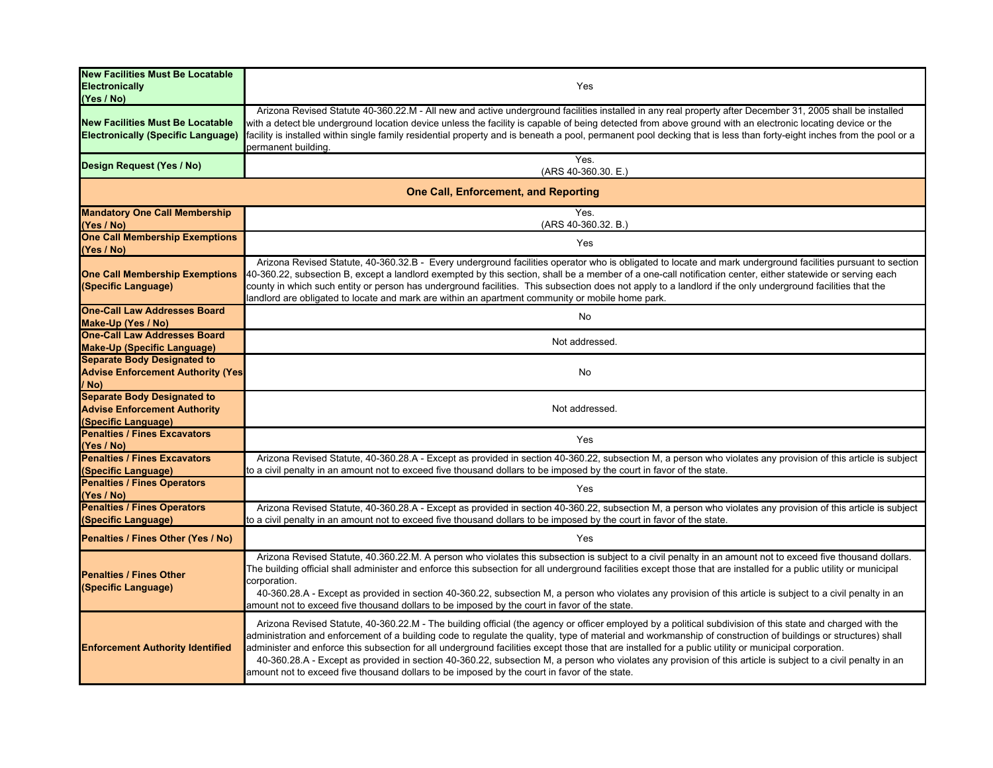| <b>New Facilities Must Be Locatable</b><br><b>Electronically</b><br>(Yes / No)                   | Yes                                                                                                                                                                                                                                                                                                                                                                                                                                                                                                                                                                                                                                                                                                                                                 |  |
|--------------------------------------------------------------------------------------------------|-----------------------------------------------------------------------------------------------------------------------------------------------------------------------------------------------------------------------------------------------------------------------------------------------------------------------------------------------------------------------------------------------------------------------------------------------------------------------------------------------------------------------------------------------------------------------------------------------------------------------------------------------------------------------------------------------------------------------------------------------------|--|
| <b>New Facilities Must Be Locatable</b><br><b>Electronically (Specific Language)</b>             | Arizona Revised Statute 40-360.22.M - All new and active underground facilities installed in any real property after December 31, 2005 shall be installed<br>with a detect ble underground location device unless the facility is capable of being detected from above ground with an electronic locating device or the<br>facility is installed within single family residential property and is beneath a pool, permanent pool decking that is less than forty-eight inches from the pool or a<br>permanent building.                                                                                                                                                                                                                             |  |
| Design Request (Yes / No)                                                                        | Yes.<br>(ARS 40-360.30. E.)                                                                                                                                                                                                                                                                                                                                                                                                                                                                                                                                                                                                                                                                                                                         |  |
| <b>One Call, Enforcement, and Reporting</b>                                                      |                                                                                                                                                                                                                                                                                                                                                                                                                                                                                                                                                                                                                                                                                                                                                     |  |
| <b>Mandatory One Call Membership</b><br>(Yes / No)                                               | Yes.<br>(ARS 40-360.32. B.)                                                                                                                                                                                                                                                                                                                                                                                                                                                                                                                                                                                                                                                                                                                         |  |
| <b>One Call Membership Exemptions</b><br>(Yes / No)                                              | Yes                                                                                                                                                                                                                                                                                                                                                                                                                                                                                                                                                                                                                                                                                                                                                 |  |
| <b>One Call Membership Exemptions</b><br>(Specific Language)                                     | Arizona Revised Statute, 40-360.32.B - Every underground facilities operator who is obligated to locate and mark underground facilities pursuant to section<br>40-360.22, subsection B, except a landlord exempted by this section, shall be a member of a one-call notification center, either statewide or serving each<br>county in which such entity or person has underground facilities. This subsection does not apply to a landlord if the only underground facilities that the<br>landlord are obligated to locate and mark are within an apartment community or mobile home park.                                                                                                                                                         |  |
| <b>One-Call Law Addresses Board</b><br>Make-Up (Yes / No)                                        | No                                                                                                                                                                                                                                                                                                                                                                                                                                                                                                                                                                                                                                                                                                                                                  |  |
| <b>One-Call Law Addresses Board</b><br><b>Make-Up (Specific Language)</b>                        | Not addressed.                                                                                                                                                                                                                                                                                                                                                                                                                                                                                                                                                                                                                                                                                                                                      |  |
| <b>Separate Body Designated to</b><br><b>Advise Enforcement Authority (Yes</b><br>/ No)          | No                                                                                                                                                                                                                                                                                                                                                                                                                                                                                                                                                                                                                                                                                                                                                  |  |
| <b>Separate Body Designated to</b><br><b>Advise Enforcement Authority</b><br>(Specific Language) | Not addressed.                                                                                                                                                                                                                                                                                                                                                                                                                                                                                                                                                                                                                                                                                                                                      |  |
| <b>Penalties / Fines Excavators</b><br>(Yes / No)                                                | Yes                                                                                                                                                                                                                                                                                                                                                                                                                                                                                                                                                                                                                                                                                                                                                 |  |
| <b>Penalties / Fines Excavators</b><br>(Specific Language)                                       | Arizona Revised Statute, 40-360.28.A - Except as provided in section 40-360.22, subsection M, a person who violates any provision of this article is subject<br>to a civil penalty in an amount not to exceed five thousand dollars to be imposed by the court in favor of the state.                                                                                                                                                                                                                                                                                                                                                                                                                                                               |  |
| <b>Penalties / Fines Operators</b><br>(Yes / No)                                                 | Yes                                                                                                                                                                                                                                                                                                                                                                                                                                                                                                                                                                                                                                                                                                                                                 |  |
| <b>Penalties / Fines Operators</b><br>(Specific Language)                                        | Arizona Revised Statute, 40-360.28.A - Except as provided in section 40-360.22, subsection M, a person who violates any provision of this article is subject<br>to a civil penalty in an amount not to exceed five thousand dollars to be imposed by the court in favor of the state.                                                                                                                                                                                                                                                                                                                                                                                                                                                               |  |
| Penalties / Fines Other (Yes / No)                                                               | Yes                                                                                                                                                                                                                                                                                                                                                                                                                                                                                                                                                                                                                                                                                                                                                 |  |
| <b>Penalties / Fines Other</b><br>(Specific Language)                                            | Arizona Revised Statute, 40.360.22.M. A person who violates this subsection is subject to a civil penalty in an amount not to exceed five thousand dollars.<br>The building official shall administer and enforce this subsection for all underground facilities except those that are installed for a public utility or municipal<br>corporation.<br>40-360.28.A - Except as provided in section 40-360.22, subsection M, a person who violates any provision of this article is subject to a civil penalty in an<br>amount not to exceed five thousand dollars to be imposed by the court in favor of the state.                                                                                                                                  |  |
| <b>Enforcement Authority Identified</b>                                                          | Arizona Revised Statute, 40-360.22.M - The building official (the agency or officer employed by a political subdivision of this state and charged with the<br>administration and enforcement of a building code to regulate the quality, type of material and workmanship of construction of buildings or structures) shall<br>administer and enforce this subsection for all underground facilities except those that are installed for a public utility or municipal corporation.<br>40-360.28.A - Except as provided in section 40-360.22, subsection M, a person who violates any provision of this article is subject to a civil penalty in an<br>amount not to exceed five thousand dollars to be imposed by the court in favor of the state. |  |